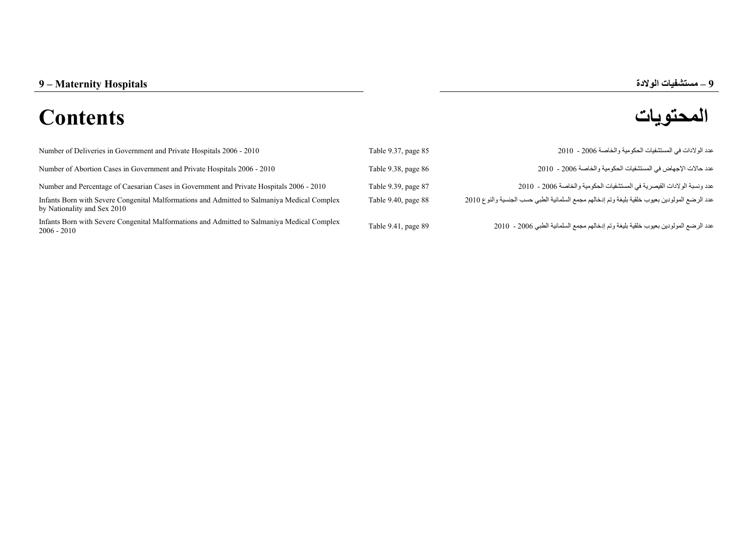## **المحتويات Contents**



| Number of Deliveries in Government and Private Hospitals 2006 - 2010                                                       | Table 9.37, page 85 | عدد الو لادات في المستشفيات الحكو مية و الخاصـة 2006 - 2010                                    |
|----------------------------------------------------------------------------------------------------------------------------|---------------------|------------------------------------------------------------------------------------------------|
| Number of Abortion Cases in Government and Private Hospitals 2006 - 2010                                                   | Table 9.38, page 86 | عدد حالات الإجهاض في المستشفيات الحكومية والخاصة 2006 - 2010                                   |
| Number and Percentage of Caesarian Cases in Government and Private Hospitals 2006 - 2010                                   | Table 9.39, page 87 | عدد و نسبة الو لادات القيصر بـة في المستشفيات الحكو مية و الخاصـة 2006 - 2010                  |
| Infants Born with Severe Congenital Malformations and Admitted to Salmaniya Medical Complex<br>by Nationality and Sex 2010 | Table 9.40, page 88 | عدد الرضع المولودين بعيوب خلقية بليغة وتم إدخالهم مجمع السلمانية الطبي حسب الجنسية والنوع 2010 |
| Infants Born with Severe Congenital Malformations and Admitted to Salmaniya Medical Complex<br>2006 - 2010                 | Table 9.41, page 89 | عدد الرضع المولودين بعيوب خلقية بليغة وتم إدخالهم مجمع السلمانية الطبي 2006 - 2010             |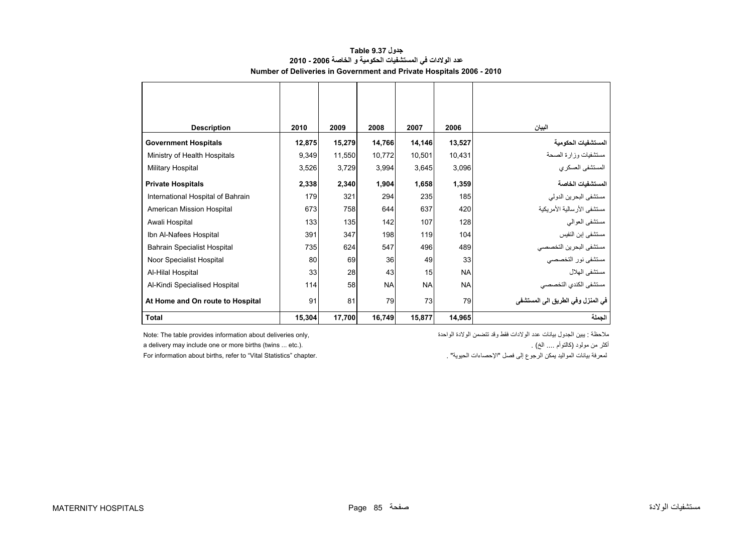<span id="page-1-0"></span>

| <b>Description</b>                 | 2010   | 2009   | 2008      | 2007      | 2006      | البيان                            |
|------------------------------------|--------|--------|-----------|-----------|-----------|-----------------------------------|
| <b>Government Hospitals</b>        | 12,875 | 15,279 | 14,766    | 14,146    | 13,527    | المستشفيات الحكومية               |
| Ministry of Health Hospitals       | 9,349  | 11,550 | 10,772    | 10,501    | 10,431    | مستشفيات وزارة الصحة              |
| Military Hospital                  | 3,526  | 3,729  | 3,994     | 3,645     | 3,096     | المستشفى العسكري                  |
| <b>Private Hospitals</b>           | 2,338  | 2,340  | 1,904     | 1,658     | 1,359     | المستشفيات الخاصة                 |
| International Hospital of Bahrain  | 179    | 321    | 294       | 235       | 185       | مستشفى البحرين الدولي             |
| American Mission Hospital          | 673    | 758    | 644       | 637       | 420       | مستشفى الأرسالية الأمريكية        |
| Awali Hospital                     | 133    | 135    | 142       | 107       | 128       | مستشفى العوالمي                   |
| Ibn Al-Nafees Hospital             | 391    | 347    | 198       | 119       | 104       | مستشفى إبن النفيس                 |
| <b>Bahrain Specialist Hospital</b> | 735    | 624    | 547       | 496       | 489       | مستشفى البحرين التخصصي            |
| Noor Specialist Hospital           | 80     | 69     | 36        | 49        | 33        | مستشفى نور التخصصي                |
| Al-Hilal Hospital                  | 33     | 28     | 43        | 15        | <b>NA</b> | مستشفى الهلال                     |
| Al-Kindi Specialised Hospital      | 114    | 58     | <b>NA</b> | <b>NA</b> | <b>NA</b> | مستشفى الكندي التخصصي             |
| At Home and On route to Hospital   | 91     | 81     | 79        | 73        | 79        | في المنزل وفي الطريق الي المستشفى |
| <b>Total</b>                       | 15,304 | 17,700 | 16,749    | 15,877    | 14,965    | الجملة                            |

## **جدول 9.37 Table عدد الوالدات في المستشفيات الحكومية <sup>و</sup> الخاصة 2006 - 2010 Number of Deliveries in Government and Private Hospitals 2006 - 2010**

a delivery may include one or more births (twins ... etc.). . (الخ .... كالتوأم (مولود من أكثر

For information about births, refer to "Vital Statistics" chapter.

ملاحظة : يبين الجدول بيانات عدد الولادات فقط وقد تتضمن الولادة الواحدة ,only deliveries about deliveries only d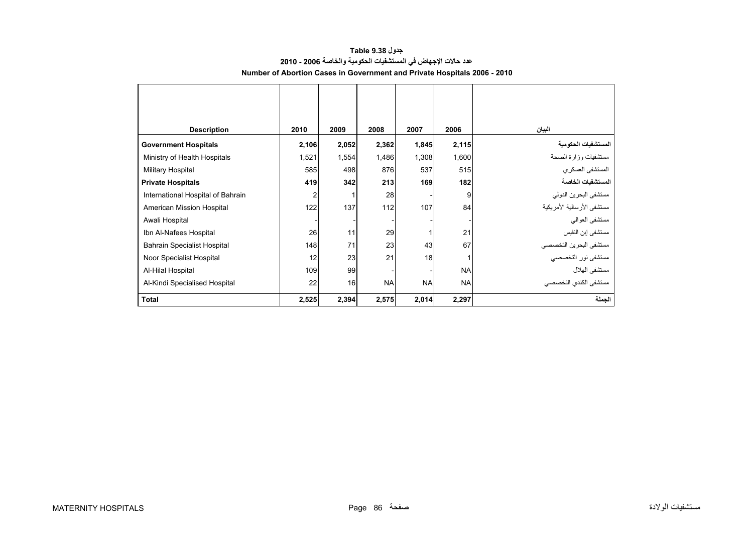## **جدول 9.38 Table عدد حاالت اإلجھاض في المستشفيات الحكومية والخاصة 2006 - 2010 Number of Abortion Cases in Government and Private Hospitals 2006 - 2010**

<span id="page-2-0"></span>

| <b>Description</b>                 | 2010  | 2009  | 2008      | 2007      | 2006      | البيان                       |
|------------------------------------|-------|-------|-----------|-----------|-----------|------------------------------|
| <b>Government Hospitals</b>        | 2,106 | 2,052 | 2,362     | 1,845     | 2,115     | المستشفيات الحكومية          |
| Ministry of Health Hospitals       | 1,521 | 1,554 | 1,486     | 1,308     | 1,600     | مستشفيات وزارة الصحة         |
| Military Hospital                  | 585   | 498   | 876       | 537       | 515       | المستشفى العسكري             |
| <b>Private Hospitals</b>           | 419   | 342   | 213       | 169       | 182       | المستشفيات الخاصة            |
| International Hospital of Bahrain  | 2     |       | 28        |           | 9         | مستشفى البحرين الدولي        |
| American Mission Hospital          | 122   | 137   | 112       | 107       | 84        | مستشفى الأر سالية الأمر يكية |
| Awali Hospital                     |       |       |           |           |           | مستشفى العوالمي              |
| Ibn Al-Nafees Hospital             | 26    | 11    | 29        |           | 21        | مستشفى إبن النفيس            |
| <b>Bahrain Specialist Hospital</b> | 148   | 71    | 23        | 43        | 67        | مستشفى البحرين التخصصي       |
| Noor Specialist Hospital           | 12    | 23    | 21        | 18        |           | مستشفى نور التخصصي           |
| Al-Hilal Hospital                  | 109   | 99    |           |           | <b>NA</b> | مستشفى الهلال                |
| Al-Kindi Specialised Hospital      | 22    | 16    | <b>NA</b> | <b>NA</b> | <b>NA</b> | مستشفى الكندى التخصصي        |
| <b>Total</b>                       | 2,525 | 2,394 | 2,575     | 2,014     | 2,297     | الجملة                       |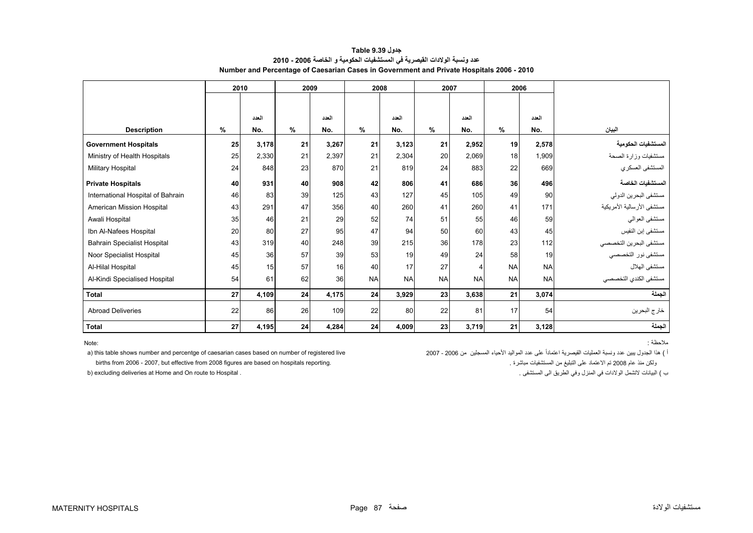| جدول Table 9.39                                                                          |
|------------------------------------------------------------------------------------------|
| عدد ونسبة الولادات القيصرية في المستشفيات الحكومية و الخاصة 2006 - 2010                  |
| Number and Percentage of Caesarian Cases in Government and Private Hospitals 2006 - 2010 |

<span id="page-3-0"></span>

|                                    | 2010 |       | 2009 |       |           | 2008      |                | 2007                     |           | 2006      |                            |
|------------------------------------|------|-------|------|-------|-----------|-----------|----------------|--------------------------|-----------|-----------|----------------------------|
|                                    |      |       |      |       |           |           |                |                          |           |           |                            |
|                                    |      | العدد |      | العدد |           | العدد     |                | العدد                    |           | العدد     |                            |
| <b>Description</b>                 | $\%$ | No.   | %    | No.   | $\%$      | No.       | %              | No.                      | $\%$      | No.       | البيان                     |
|                                    |      |       |      |       |           |           |                |                          |           |           |                            |
| <b>Government Hospitals</b>        | 25   | 3,178 | 21   | 3.267 | 21        | 3,123     | 21             | 2.952                    | 19        | 2,578     | المستشفيات الحكومية        |
| Ministry of Health Hospitals       | 25   | 2,330 | 21   | 2,397 | 21        | 2,304     | 20             | 2,069                    | 18        | 1.909     | مستشفيات وزارة الصحة       |
| Military Hospital                  | 24   | 848   | 23   | 870   | 21        | 819       | 24             | 883                      | 22        | 669       | المستشفى العسكري           |
| <b>Private Hospitals</b>           | 40   | 931   | 40   | 908   | 42        | 806       | 41             | 686                      | 36        | 496       | المستشفيات الخاصة          |
| International Hospital of Bahrain  | 46   | 83    | 39   | 125   | 43        | 127       | 45             | 105                      | 49        | 90        | مستشفى البحرين الدولي      |
| American Mission Hospital          | 43   | 291   | 47   | 356   | 40        | 260       | 41             | 260                      | 41        | 171       | مستشفى الأرسالية الأمريكية |
| Awali Hospital                     | 35   | 46    | 21   | 29    | 52        | 74        | 51             | 55                       | 46        | 59        | مستشفى العوالي             |
| Ibn Al-Nafees Hospital             | 20   | 80    | 27   | 95    | 47        | 94        | 50             | 60                       | 43        | 45        | مستشفى إبن النفيس          |
| <b>Bahrain Specialist Hospital</b> | 43   | 319   | 40   | 248   | 39        | 215       | 36             | 178                      | 23        | 112       | مستشفى البحرين التخصصي     |
| Noor Specialist Hospital           | 45   | 36    | 57   | 39    | 53        | 19        | 49             | 24                       | 58        | 19        | مستشفى نور التخصصي         |
| Al-Hilal Hospital                  | 45   | 15    | 57   | 16    | 40        | 17        | 27             | $\overline{\mathcal{L}}$ | <b>NA</b> | <b>NA</b> | مستشفى الهلال              |
| Al-Kindi Specialised Hospital      | 54   | 61    | 62   | 36    | <b>NA</b> | <b>NA</b> | N <sub>A</sub> | <b>NA</b>                | <b>NA</b> | <b>NA</b> | مستشفى الكندي التخصصى      |
| Total                              | 27   | 4,109 | 24   | 4,175 | 24        | 3,929     | 23             | 3,638                    | 21        | 3,074     | الجملة                     |
| <b>Abroad Deliveries</b>           | 22   | 86    | 26   | 109   | 22        | 80        | 22             | 81                       | 17        | 54        | خارج البحرين               |
| <b>Total</b>                       | 27   | 4,195 | 24   | 4,284 | 24        | 4,009     | 23             | 3,719                    | 21        | 3,128     | الجملة                     |

Note:

مالحظة :

.<br>أ ) هذا الجدول يبين عدد ونسبة العمليات القيصرية اعتماداً على عدد المواليد الأحياء المسجلين من 2006 - 2007 200 births from 2006 - 2007, but effective from 2008 figures are based on hospitals reporting. . مباشرة المستشفيات من التبليغ على االعتماد تم <sup>2008</sup> عام منذ ولكن

b) excluding deliveries at Home and On route to Hospital .

ب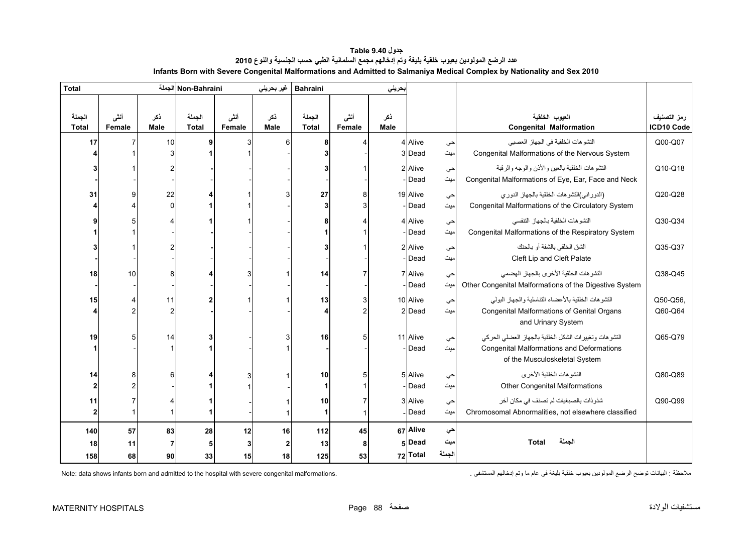<span id="page-4-0"></span>

| <b>Total</b>           |                |                    | Non-Bahraini الجملة    |                | غير بحريني         | <b>Bahraini</b>        |                | بحريني      |          |        |                                                                                   |                           |
|------------------------|----------------|--------------------|------------------------|----------------|--------------------|------------------------|----------------|-------------|----------|--------|-----------------------------------------------------------------------------------|---------------------------|
| الجملة<br><b>Total</b> | أنشى<br>Female | نكر<br><b>Male</b> | الجملة<br><b>Total</b> | أنشى<br>Female | نكر<br><b>Male</b> | الجملة<br><b>Total</b> | أنشى<br>Female | ذكر<br>Male |          |        | العيوب الخلقية<br><b>Congenital Malformation</b>                                  | رمز التصنيف<br>ICD10 Code |
| 17                     |                | 10                 |                        |                | 6                  | 8                      |                |             | 4 Alive  | حي     | التشو هات الخلقية في الجهاز العصبي                                                | Q00-Q07                   |
|                        |                |                    |                        |                |                    | 3                      |                |             | 3 Dead   | میت    | Congenital Malformations of the Nervous System                                    |                           |
|                        |                |                    |                        |                |                    | 3                      |                |             | 2 Alive  | حي     | النشو هات الخلقية بالعين والأذن والوجه والرقبة                                    | Q10-Q18                   |
|                        |                |                    |                        |                |                    |                        |                |             | -Dead    | میت    | Congenital Malformations of Eye, Ear, Face and Neck                               |                           |
| 31                     |                | 22                 |                        |                |                    | 27                     | 8              |             | 19 Alive | حي     | (الدوراني)التشوهات الخلقية بالجهاز الدوري                                         | Q20-Q28                   |
|                        |                | $\Omega$           |                        |                |                    | 3                      | 3              |             | - Dead   | میت    | Congenital Malformations of the Circulatory System                                |                           |
|                        |                |                    |                        |                |                    | 8                      |                |             | 4 Alive  | حي     | التشو هات الخلقية بالجهاز التنفسي                                                 | Q30-Q34                   |
|                        |                |                    |                        |                |                    | 1                      |                |             | - Dead   | میت    | Congenital Malformations of the Respiratory System                                |                           |
|                        |                |                    |                        |                |                    | 3                      |                |             | 2 Alive  | حي     | الشق الخلقي بالشفة أو بالحنك                                                      | Q35-Q37                   |
|                        |                |                    |                        |                |                    |                        |                |             | Dead     | میت    | Cleft Lip and Cleft Palate                                                        |                           |
| 18                     | 10             | 8                  |                        |                |                    | 14                     |                |             | 7 Alive  | حي     | التشو هات الخلقية الأخر ي بالجهاز الهضمى                                          | Q38-Q45                   |
|                        |                |                    |                        |                |                    |                        |                |             | Dead     | میت    | Other Congenital Malformations of the Digestive System                            |                           |
| 15                     |                | 11                 |                        |                |                    | 13                     | 3              |             | 10 Alive | حي     | التشوهات الخلقية بالأعضاء التناسلية والجهاز البولى                                | Q50-Q56                   |
|                        |                | $\overline{c}$     |                        |                |                    | 4                      | 2              |             | 2 Dead   | میت    | Congenital Malformations of Genital Organs<br>and Urinary System                  | Q60-Q64                   |
| 19                     | 5              | 14                 |                        |                |                    | 16                     | 5              |             | 11 Alive | حي     | التشوهات وتغييرات الشكل الخلقية بالجهاز العضلى الحركى                             | Q65-Q79                   |
|                        |                |                    |                        |                |                    |                        |                |             | Dead     | میت    | <b>Congenital Malformations and Deformations</b><br>of the Musculoskeletal System |                           |
| 14                     |                | 6                  |                        |                |                    | 10                     | 5              |             | 5 Alive  | حي     | التشو هات الخلقية الأخر ي                                                         | Q80-Q89                   |
| $\mathbf 2$            |                |                    |                        |                |                    | 1                      |                |             | - Dead   | میت    | <b>Other Congenital Malformations</b>                                             |                           |
| 11                     |                |                    |                        |                |                    | 10                     |                |             | 3 Alive  | حي     | شذوذات بالصبغيات لم تصنف في مكان أخر                                              | Q90-Q99                   |
| $\mathbf{2}$           |                |                    |                        |                |                    | 1                      | $\mathbf{1}$   |             | Dead     | میت    | Chromosomal Abnormalities, not elsewhere classified                               |                           |
| 140                    | 57             | 83                 | 28                     | 12             | 16                 | 112                    | 45             |             | 67 Alive | حي     |                                                                                   |                           |
| 18                     | 11             |                    | 5                      | 3              | 2                  | 13                     | 8              |             | 5 Dead   | میت    | الجملة<br>Total                                                                   |                           |
| 158                    | 68             | 90                 | 33                     | 15             | 18                 | 125                    | 53             |             | 72 Total | الجملة |                                                                                   |                           |

**جدول 9.40 Table عدد الرضع المولودين بعيوب خلقية بليغة وتم إدخالھم مجمع السلمانية الطبي حسب الجنسية والنوع<sup>2010</sup> Infants Born with Severe Congenital Malformations and Admitted to Salmaniya Medical Complex by Nationality and Sex 2010** 

ملاحظة : البيانات توضح الرضع المولودين بعيوب خلقية بليغة في عام ما وتم إدخالهم المستشفى . .<br>ملاحظة : البيانات توضح الرضع المولودين بعيوب خلقية بليغة في عام ما وتم إدخالهم المستشفى .